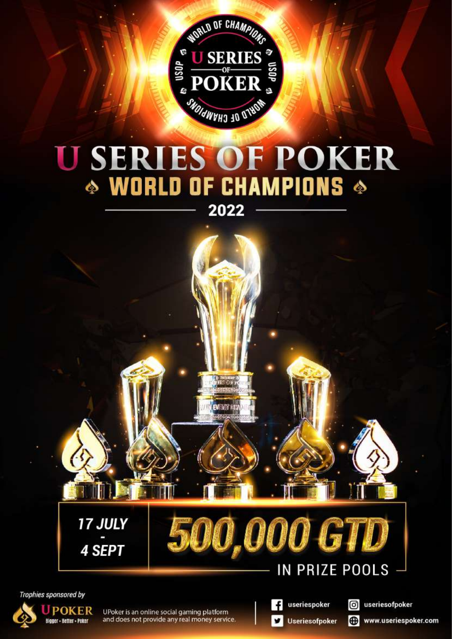

# **U SERIES OF POKER** ◈ WORLD OF CHAMPIONS ◈ 2022



Trophies sponsored by



UPoker is an online social gaming platform and does not provide any real money service.

useriespoker V Useriesofpoker

ര

useriesofpoker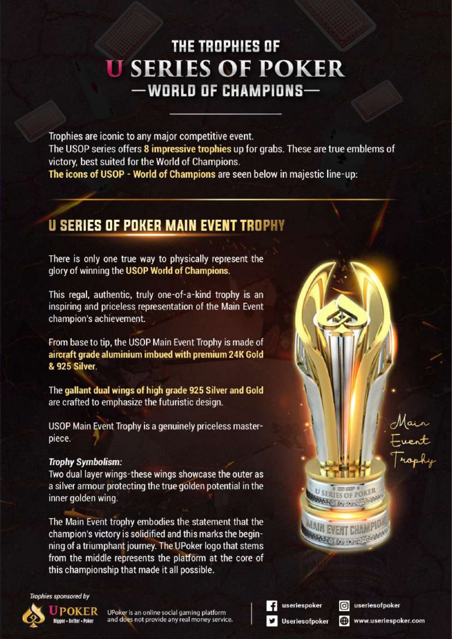## THE TROPHIES OF **U SERIES OF POKER** -WORLD OF CHAMPIONS-

Trophies are iconic to any major competitive event. The USOP series offers 8 impressive trophies up for grabs. These are true emblems of victory, best suited for the World of Champions. The icons of USOP - World of Champions are seen below in majestic line-up:

#### **U SERIES OF POKER MAIN EVENT TROPHY**

There is only one true way to physically represent the glory of winning the USOP World of Champions.

This regal, authentic, truly one-of-a-kind trophy is an inspiring and priceless representation of the Main Event champion's achievement.

From base to tip, the USOP Main Event Trophy is made of aircraft grade aluminium imbued with premium 24K Gold **& 925 Silver** 

The gallant dual wings of high grade 925 Silver and Gold are crafted to emphasize the futuristic design.

USOP Main Event Trophy is a genuinely priceless masterpiece.

#### **Trophy Symbolism:**

Two dual layer wings-these wings showcase the outer as a silver armour protecting the true golden potential in the inner golden wing.

The Main Event trophy embodies the statement that the champion's victory is solidified and this marks the beginning of a triumphant journey. The UPoker logo that stems from the middle represents the platform at the core of this championship that made it all possible.



useriespoker

**Useriesofpoker** 

ര useriesofpoker **e** 

**SERIES OF POKER** 

Add Learner

www.useriespoker.com

Main<br>E**vent**<br>Trophy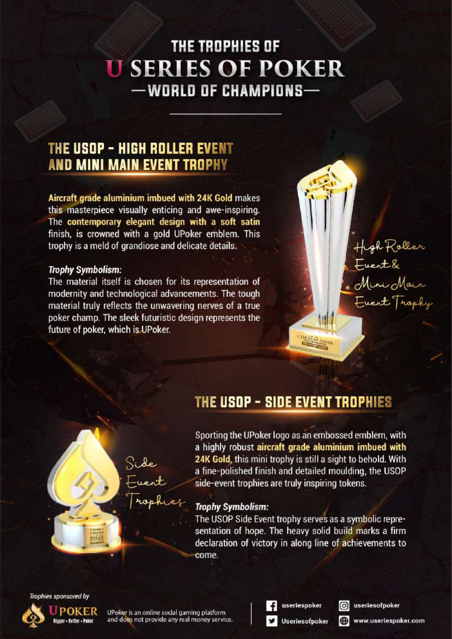## THE TROPHIES OF **U SERIES OF POKER** -WORLD OF CHAMPIONS-

#### THE USOP - HIGH ROLLER EVENT **AND MINI MAIN EVENT TROPHY**

Aircraft grade aluminium imbued with 24K Gold makes this masterpiece visually enticing and awe-inspiring. The contemporary elegant design with a soft satin finish, is crowned with a gold UPoker emblem. This trophy is a meld of grandiose and delicate details.

#### **Trophy Symbolism:**

The material itself is chosen for its representation of modernity and technological advancements. The tough material truly reflects the unwavering nerves of a true poker champ. The sleek futuristic design represents the future of poker, which is UPoker.

#### THE USOP - SIDE EVENT TROPHIES

Sporting the UPoker logo as an embossed emblem, with a highly robust aircraft grade aluminium imbued with 24K Gold, this mini trophy is still a sight to behold. With a fine-polished finish and detailed moulding, the USOP side-event trophies are truly inspiring tokens.

#### **Trophy Symbolism:**

The USOP Side Event trophy serves as a symbolic representation of hope. The heavy solid build marks a firm declaration of victory in along line of achievements to come.

Trophies sponsored by



UPoker is an online social gaming platform and does not provide any real money service. useriespoker

**Useriesofpoker** 

useriesofpoker രി

High Roller<br>Event &<br>Mini Mair

Frent Trophy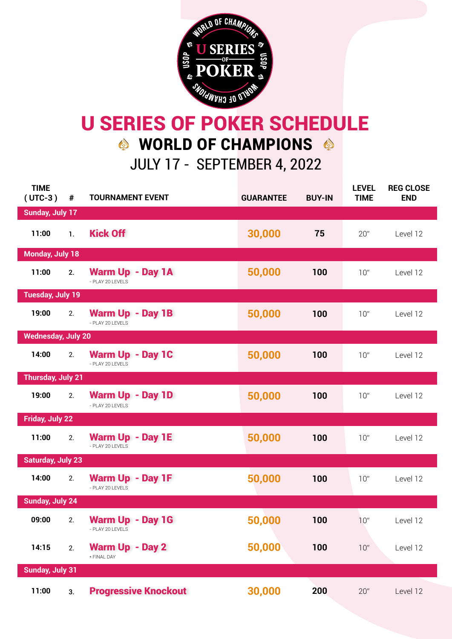

## JULY 17 - SEPTEMBER 4, 2022 U SERIES OF POKER SCHEDULE  $\bullet$  WORLD OF CHAMPIONS  $\bullet$

| <b>TIME</b><br>$(UTC-3)$  | $\pmb{\#}$     | <b>TOURNAMENT EVENT</b>                     | <b>GUARANTEE</b> | <b>BUY-IN</b> | <b>LEVEL</b><br><b>TIME</b> | <b>REG CLOSE</b><br><b>END</b> |
|---------------------------|----------------|---------------------------------------------|------------------|---------------|-----------------------------|--------------------------------|
| <b>Sunday, July 17</b>    |                |                                             |                  |               |                             |                                |
| 11:00                     | $\mathbf{1}$ . | <b>Kick Off</b>                             | 30,000           | 75            | 20"                         | Level 12                       |
| <b>Monday, July 18</b>    |                |                                             |                  |               |                             |                                |
| 11:00                     | 2.             | Warm Up - Day 1A<br>- PLAY 20 LEVELS        | 50,000           | 100           | 10"                         | Level 12                       |
| <b>Tuesday, July 19</b>   |                |                                             |                  |               |                             |                                |
| 19:00                     | 2.             | Warm Up - Day 1B<br>- PLAY 20 LEVELS        | 50,000           | 100           | 10"                         | Level 12                       |
| <b>Wednesday, July 20</b> |                |                                             |                  |               |                             |                                |
| 14:00                     | 2.             | Warm Up - Day 1C<br>- PLAY 20 LEVELS        | 50,000           | 100           | 10"                         | Level 12                       |
| <b>Thursday, July 21</b>  |                |                                             |                  |               |                             |                                |
| 19:00                     | 2.             | <b>Warm Up - Day 1D</b><br>- PLAY 20 LEVELS | 50,000           | 100           | 10"                         | Level 12                       |
| Friday, July 22           |                |                                             |                  |               |                             |                                |
| 11:00                     | 2.             | <b>Warm Up - Day 1E</b><br>- PLAY 20 LEVELS | 50,000           | 100           | 10"                         | Level 12                       |
| <b>Saturday, July 23</b>  |                |                                             |                  |               |                             |                                |
| 14:00                     | 2.             | Warm Up - Day 1F<br>- PLAY 20 LEVELS        | 50,000           | 100           | 10"                         | Level 12                       |
| <b>Sunday, July 24</b>    |                |                                             |                  |               |                             |                                |
| 09:00                     | 2.             | <b>Warm Up - Day 1G</b><br>- PLAY 20 LEVELS | 50,000           | 100           | 10"                         | Level 12                       |
| 14:15                     | 2.             | <b>Warm Up - Day 2</b><br>* FINAL DAY       | 50,000           | 100           | 10"                         | Level 12                       |
| <b>Sunday, July 31</b>    |                |                                             |                  |               |                             |                                |
| 11:00                     | 3.             | <b>Progressive Knockout</b>                 | 30,000           | 200           | 20"                         | Level 12                       |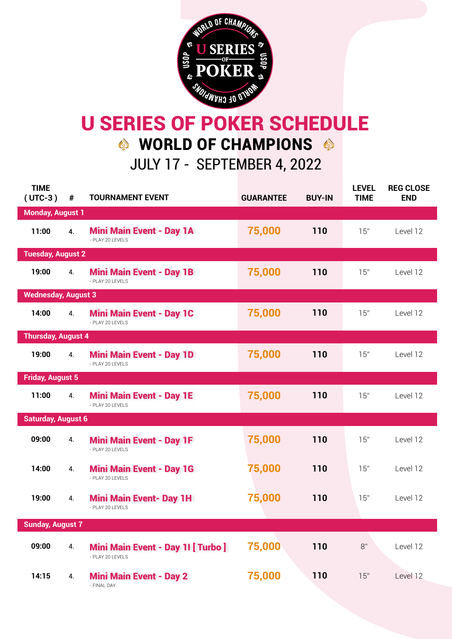

## JULY 17 - SEPTEMBER 4, 2022 U SERIES OF POKER SCHEDULE  $\bullet$  WORLD OF CHAMPIONS  $\bullet$

| <b>TIME</b><br>$(UTC-3)$   | #                       | <b>TOURNAMENT EVENT</b>                                | <b>GUARANTEE</b> | <b>BUY-IN</b> | <b>LEVEL</b><br><b>TIME</b> | <b>REG CLOSE</b><br><b>END</b> |  |  |
|----------------------------|-------------------------|--------------------------------------------------------|------------------|---------------|-----------------------------|--------------------------------|--|--|
| <b>Monday, August 1</b>    |                         |                                                        |                  |               |                             |                                |  |  |
| 11:00                      | 4.                      | <b>Mini Main Event - Day 1A</b><br>- PLAY 20 LEVELS    | 75,000           | 110           | 15"                         | Level 12                       |  |  |
| <b>Tuesday, August 2</b>   |                         |                                                        |                  |               |                             |                                |  |  |
| 19:00                      | 4.                      | <b>Mini Main Event - Day 1B</b><br>- PLAY 20 LEVELS    | 75,000           | 110           | 15"                         | Level 12                       |  |  |
| <b>Wednesday, August 3</b> |                         |                                                        |                  |               |                             |                                |  |  |
| 14:00                      | 4.                      | <b>Mini Main Event - Day 1C</b><br>- PLAY 20 LEVELS    | 75,000           | 110           | 15"                         | Level 12                       |  |  |
| <b>Thursday, August 4</b>  |                         |                                                        |                  |               |                             |                                |  |  |
| 19:00                      | 4.                      | <b>Mini Main Event - Day 1D</b><br>- PI AY 20 I FVFI S | 75,000           | 110           | 15"                         | Level 12                       |  |  |
|                            | <b>Friday, August 5</b> |                                                        |                  |               |                             |                                |  |  |
| 11:00                      | 4.                      | <b>Mini Main Event - Day 1E</b><br>- PLAY 20 LEVELS    | 75,000           | 110           | 15"                         | Level 12                       |  |  |
| <b>Saturday, August 6</b>  |                         |                                                        |                  |               |                             |                                |  |  |
| 09:00                      | 4.                      | <b>Mini Main Event - Day 1F</b><br>- PLAY 20 LEVELS    | 75,000           | 110           | 15"                         | Level 12                       |  |  |
| 14:00                      | 4.                      | <b>Mini Main Event - Day 1G</b><br>- PLAY 20 LEVELS    | 75,000           | 110           | 15"                         | Level 12                       |  |  |
| 19:00                      | 4.                      | <b>Mini Main Event- Day 1H</b><br>- PLAY 20 LEVELS     | 75,000           | 110           | 15"                         | Level 12                       |  |  |
| <b>Sunday, August 7</b>    |                         |                                                        |                  |               |                             |                                |  |  |
| 09:00                      | 4.                      | Mini Main Event - Day 11 [ Turbo ]<br>- PLAY 20 LEVELS | 75,000           | 110           | 8"                          | Level 12                       |  |  |
| 14:15                      | 4.                      | <b>Mini Main Event - Day 2</b><br>- FINAL DAY          | 75,000           | 110           | 15"                         | Level 12                       |  |  |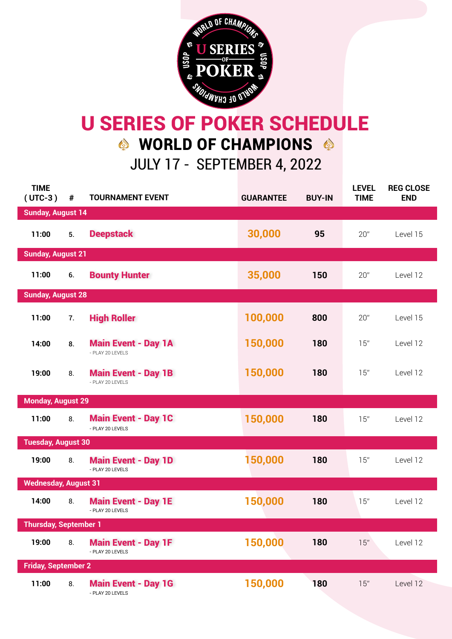

## JULY 17 - SEPTEMBER 4, 2022 U SERIES OF POKER SCHEDULE  $\bullet$  WORLD OF CHAMPIONS  $\bullet$

| <b>TIME</b><br>$(UTC-3)$     | #  | <b>TOURNAMENT EVENT</b>                           | <b>GUARANTEE</b> | <b>BUY-IN</b> | <b>LEVEL</b><br><b>TIME</b> | <b>REG CLOSE</b><br><b>END</b> |  |  |
|------------------------------|----|---------------------------------------------------|------------------|---------------|-----------------------------|--------------------------------|--|--|
| <b>Sunday, August 14</b>     |    |                                                   |                  |               |                             |                                |  |  |
| 11:00                        | 5. | <b>Deepstack</b>                                  | 30,000           | 95            | 20"                         | Level 15                       |  |  |
| <b>Sunday, August 21</b>     |    |                                                   |                  |               |                             |                                |  |  |
| 11:00                        | 6. | <b>Bounty Hunter</b>                              | 35,000           | 150           | 20"                         | Level 12                       |  |  |
| <b>Sunday, August 28</b>     |    |                                                   |                  |               |                             |                                |  |  |
| 11:00                        | 7. | <b>High Roller</b>                                | 100,000          | 800           | 20"                         | Level 15                       |  |  |
| 14:00                        | 8. | <b>Main Event - Day 1A</b><br>- PLAY 20 LEVELS    | 150,000          | 180           | 15"                         | Level 12                       |  |  |
| 19:00                        | 8. | <b>Main Event - Day 1B</b><br>- PI AY 20 I FVFI S | 150,000          | 180           | 15"                         | Level 12                       |  |  |
| <b>Monday, August 29</b>     |    |                                                   |                  |               |                             |                                |  |  |
| 11:00                        | 8. | <b>Main Event - Day 1C</b><br>- PLAY 20 LEVELS    | 150,000          | 180           | 15"                         | Level 12                       |  |  |
| <b>Tuesday, August 30</b>    |    |                                                   |                  |               |                             |                                |  |  |
| 19:00                        | 8. | <b>Main Event - Day 1D</b><br>- PLAY 20 LEVELS    | 150,000          | 180           | 15"                         | Level 12                       |  |  |
| <b>Wednesday, August 31</b>  |    |                                                   |                  |               |                             |                                |  |  |
| 14:00                        | 8. | <b>Main Event - Day 1E</b><br>- PLAY 20 LEVELS    | 150,000          | 180           | 15"                         | Level 12                       |  |  |
| <b>Thursday, September 1</b> |    |                                                   |                  |               |                             |                                |  |  |
| 19:00                        | 8. | <b>Main Event - Day 1F</b><br>- PLAY 20 LEVELS    | 150,000          | 180           | 15"                         | Level 12                       |  |  |
| <b>Friday, September 2</b>   |    |                                                   |                  |               |                             |                                |  |  |
| 11:00                        | 8. | <b>Main Event - Day 1G</b><br>- PLAY 20 LEVELS    | 150,000          | 180           | 15"                         | Level 12                       |  |  |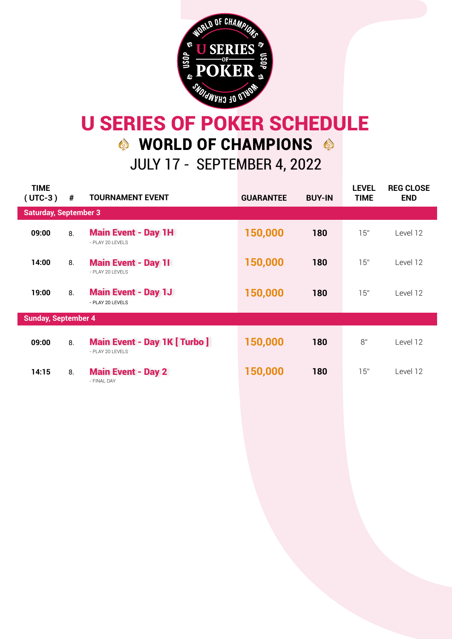

## JULY 17 - SEPTEMBER 4, 2022 U SERIES OF POKER SCHEDULE WORLD OF CHAMPIONS

| <b>TIME</b><br>$(UTC-3)$     | #  | <b>TOURNAMENT EVENT</b>                                       | <b>GUARANTEE</b> | <b>BUY-IN</b> | <b>LEVEL</b><br><b>TIME</b> | <b>REG CLOSE</b><br><b>END</b> |  |
|------------------------------|----|---------------------------------------------------------------|------------------|---------------|-----------------------------|--------------------------------|--|
| <b>Saturday, September 3</b> |    |                                                               |                  |               |                             |                                |  |
| 09:00                        | 8. | <b>Main Event - Day 1H</b><br>- PLAY 20 LEVELS                | 150,000          | 180           | 15"                         | Level 12                       |  |
| 14:00                        | 8. | <b>Main Event - Day 11</b><br>- PLAY 20 LEVELS                | 150,000          | 180           | 15"                         | Level 12                       |  |
| 19:00                        | 8. | <b>Main Event - Day 1J</b><br>- PLAY 20 LEVELS                | 150,000          | 180           | 15"                         | Level 12                       |  |
| <b>Sunday, September 4</b>   |    |                                                               |                  |               |                             |                                |  |
| 09:00                        | 8. | <b>Main Event - Day 1K [ Turbo ]</b><br>$-$ PI AY 20 I FVFI S | 150,000          | 180           | 8"                          | Level 12                       |  |
| 14:15                        | 8. | <b>Main Event - Day 2</b><br>- FINAI DAY                      | 150,000          | 180           | 15"                         | Level 12                       |  |
|                              |    |                                                               |                  |               |                             |                                |  |